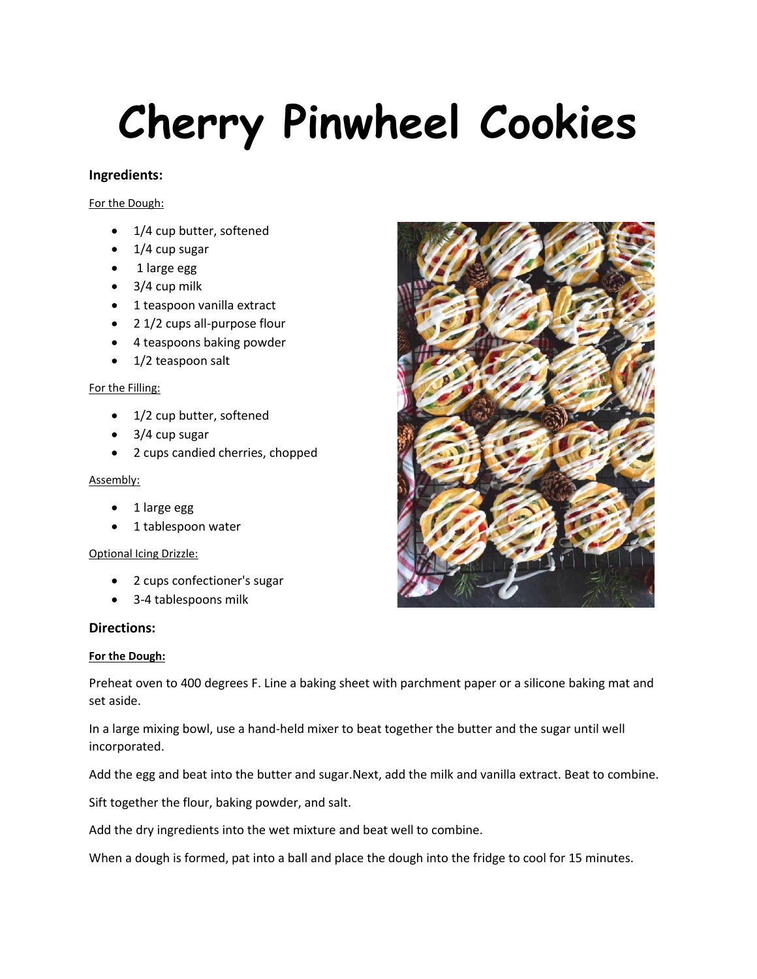# **Cherry Pinwheel Cookies**

## **Ingredients:**

For the Dough:

- 1/4 cup butter, softened
- $\bullet$  1/4 cup sugar
- 1 large egg
- $\bullet$  3/4 cup milk
- 1 teaspoon vanilla extract
- 2 1/2 cups all-purpose flour
- 4 teaspoons baking powder
- 1/2 teaspoon salt

#### For the Filling:

- 1/2 cup butter, softened
- 3/4 cup sugar
- 2 cups candied cherries, chopped

#### Assembly:

- 1 large egg
- 1 tablespoon water

## Optional Icing Drizzle:

- 2 cups confectioner's sugar
- 3-4 tablespoons milk

## **Directions:**

## **For the Dough:**

Preheat oven to 400 degrees F. Line a baking sheet with parchment paper or a silicone baking mat and set aside.

In a large mixing bowl, use a hand-held mixer to beat together the butter and the sugar until well incorporated.

Add the egg and beat into the butter and sugar.Next, add the milk and vanilla extract. Beat to combine.

Sift together the flour, baking powder, and salt.

Add the dry ingredients into the wet mixture and beat well to combine.

When a dough is formed, pat into a ball and place the dough into the fridge to cool for 15 minutes.